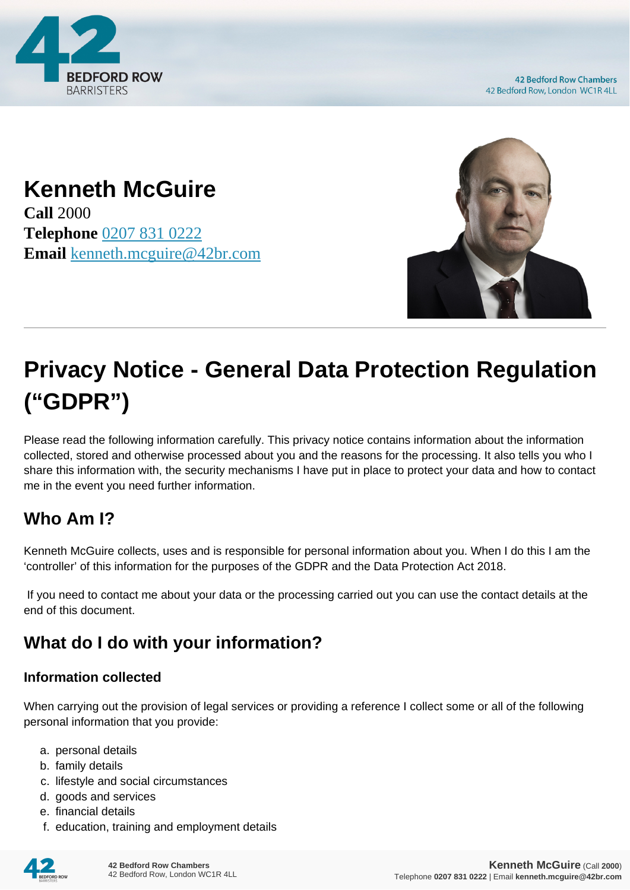

**42 Bedford Row Chambers** 42 Bedford Row, London WC1R 4LL

## **Kenneth McGuire**

**Call** 2000 **Telephone** [0207 831 0222](https://pdf.codeshore.co/_42br/tel:0207 831 0222) **Email** [kenneth.mcguire@42br.com](mailto:kenneth.mcguire@42br.com)



# **Privacy Notice - General Data Protection Regulation ("GDPR")**

Please read the following information carefully. This privacy notice contains information about the information collected, stored and otherwise processed about you and the reasons for the processing. It also tells you who I share this information with, the security mechanisms I have put in place to protect your data and how to contact me in the event you need further information.

#### **Who Am I?**

Kenneth McGuire collects, uses and is responsible for personal information about you. When I do this I am the 'controller' of this information for the purposes of the GDPR and the Data Protection Act 2018.

 If you need to contact me about your data or the processing carried out you can use the contact details at the end of this document.

### **What do I do with your information?**

#### **Information collected**

When carrying out the provision of legal services or providing a reference I collect some or all of the following personal information that you provide:

- a. personal details
- b. family details
- c. lifestyle and social circumstances
- d. goods and services
- e. financial details
- f. education, training and employment details

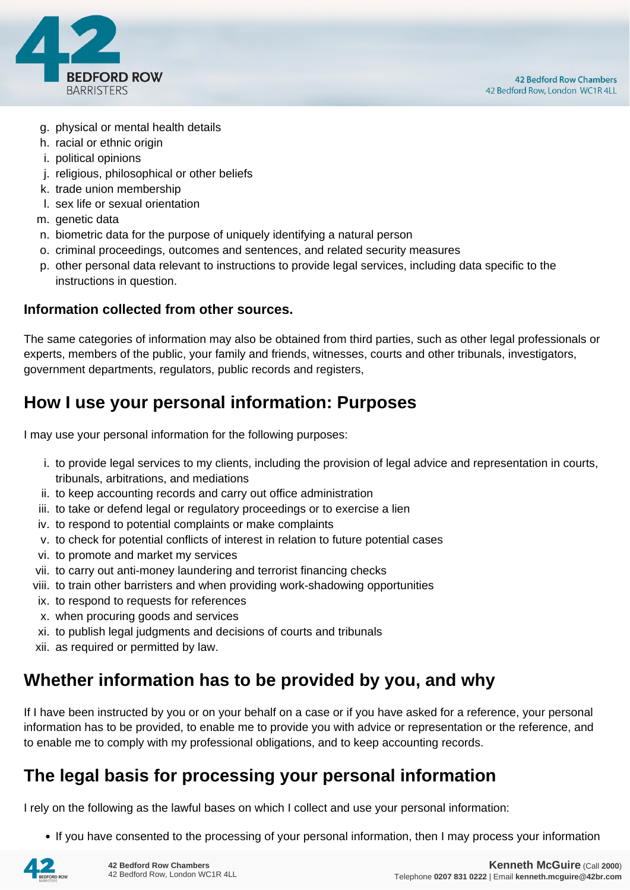

- g. physical or mental health details
- h. racial or ethnic origin
- i. political opinions
- j. religious, philosophical or other beliefs
- k. trade union membership
- l. sex life or sexual orientation
- m. genetic data
- n. biometric data for the purpose of uniquely identifying a natural person
- o. criminal proceedings, outcomes and sentences, and related security measures
- p. other personal data relevant to instructions to provide legal services, including data specific to the instructions in question.

#### **Information collected from other sources.**

The same categories of information may also be obtained from third parties, such as other legal professionals or experts, members of the public, your family and friends, witnesses, courts and other tribunals, investigators, government departments, regulators, public records and registers,

#### **How I use your personal information: Purposes**

I may use your personal information for the following purposes:

- i. to provide legal services to my clients, including the provision of legal advice and representation in courts, tribunals, arbitrations, and mediations
- ii. to keep accounting records and carry out office administration
- iii. to take or defend legal or regulatory proceedings or to exercise a lien
- iv. to respond to potential complaints or make complaints
- v. to check for potential conflicts of interest in relation to future potential cases
- vi. to promote and market my services
- vii. to carry out anti-money laundering and terrorist financing checks
- viii. to train other barristers and when providing work-shadowing opportunities
- ix. to respond to requests for references
- x. when procuring goods and services
- xi. to publish legal judgments and decisions of courts and tribunals
- xii. as required or permitted by law.

#### **Whether information has to be provided by you, and why**

If I have been instructed by you or on your behalf on a case or if you have asked for a reference, your personal information has to be provided, to enable me to provide you with advice or representation or the reference, and to enable me to comply with my professional obligations, and to keep accounting records.

#### **The legal basis for processing your personal information**

I rely on the following as the lawful bases on which I collect and use your personal information:

• If you have consented to the processing of your personal information, then I may process your information

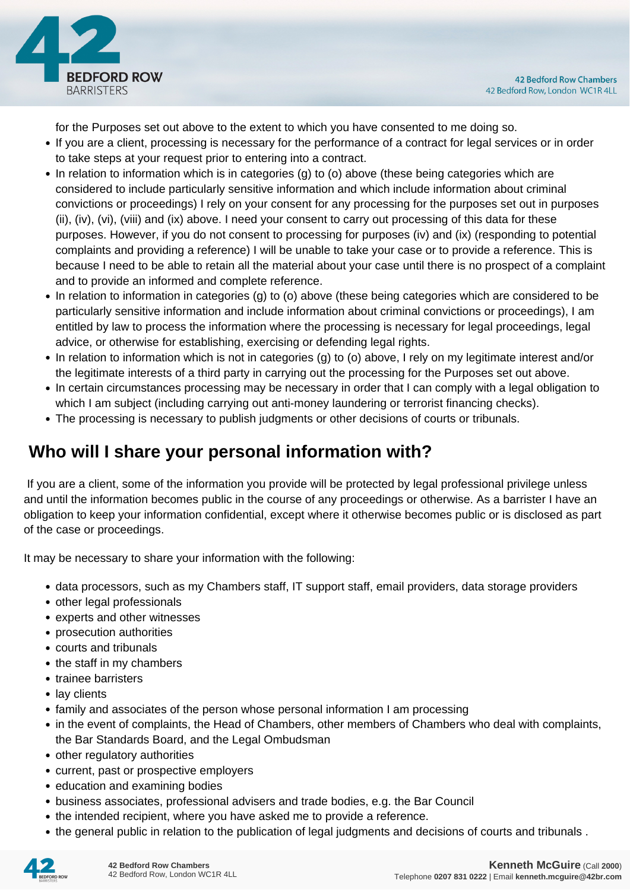

for the Purposes set out above to the extent to which you have consented to me doing so.

- If you are a client, processing is necessary for the performance of a contract for legal services or in order to take steps at your request prior to entering into a contract.
- In relation to information which is in categories (g) to (o) above (these being categories which are considered to include particularly sensitive information and which include information about criminal convictions or proceedings) I rely on your consent for any processing for the purposes set out in purposes (ii), (iv), (vi), (viii) and (ix) above. I need your consent to carry out processing of this data for these purposes. However, if you do not consent to processing for purposes (iv) and (ix) (responding to potential complaints and providing a reference) I will be unable to take your case or to provide a reference. This is because I need to be able to retain all the material about your case until there is no prospect of a complaint and to provide an informed and complete reference.
- In relation to information in categories (g) to (o) above (these being categories which are considered to be particularly sensitive information and include information about criminal convictions or proceedings), I am entitled by law to process the information where the processing is necessary for legal proceedings, legal advice, or otherwise for establishing, exercising or defending legal rights.
- In relation to information which is not in categories (g) to (o) above, I rely on my legitimate interest and/or the legitimate interests of a third party in carrying out the processing for the Purposes set out above.
- In certain circumstances processing may be necessary in order that I can comply with a legal obligation to which I am subject (including carrying out anti-money laundering or terrorist financing checks).
- The processing is necessary to publish judgments or other decisions of courts or tribunals.

#### **Who will I share your personal information with?**

 If you are a client, some of the information you provide will be protected by legal professional privilege unless and until the information becomes public in the course of any proceedings or otherwise. As a barrister I have an obligation to keep your information confidential, except where it otherwise becomes public or is disclosed as part of the case or proceedings.

It may be necessary to share your information with the following:

- data processors, such as my Chambers staff, IT support staff, email providers, data storage providers
- other legal professionals
- experts and other witnesses
- prosecution authorities
- courts and tribunals
- the staff in my chambers
- trainee barristers
- lay clients
- family and associates of the person whose personal information I am processing
- in the event of complaints, the Head of Chambers, other members of Chambers who deal with complaints, the Bar Standards Board, and the Legal Ombudsman
- other regulatory authorities
- current, past or prospective employers
- education and examining bodies
- business associates, professional advisers and trade bodies, e.g. the Bar Council
- the intended recipient, where you have asked me to provide a reference.
- the general public in relation to the publication of legal judgments and decisions of courts and tribunals .

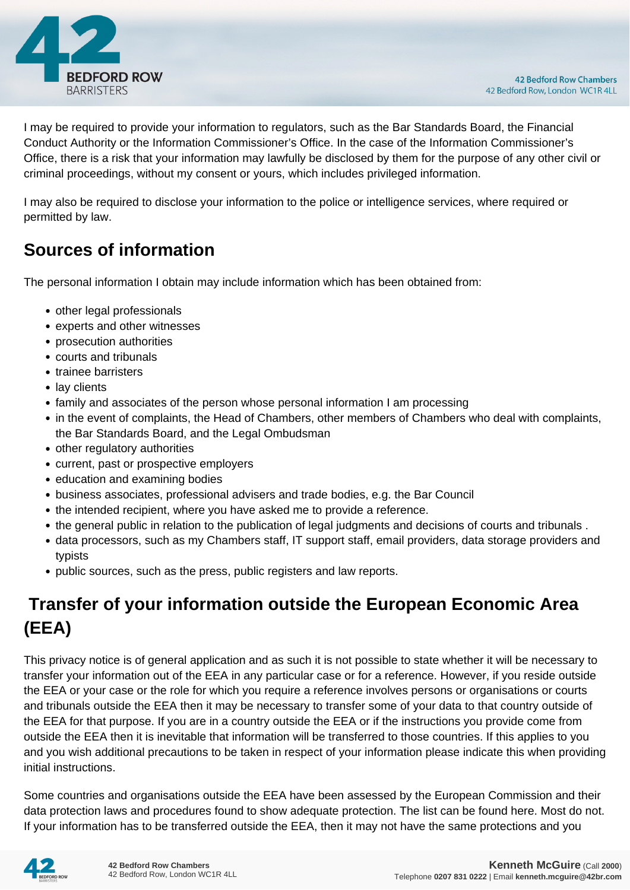

I may be required to provide your information to regulators, such as the Bar Standards Board, the Financial Conduct Authority or the Information Commissioner's Office. In the case of the Information Commissioner's Office, there is a risk that your information may lawfully be disclosed by them for the purpose of any other civil or criminal proceedings, without my consent or yours, which includes privileged information.

I may also be required to disclose your information to the police or intelligence services, where required or permitted by law.

#### **Sources of information**

The personal information I obtain may include information which has been obtained from:

- other legal professionals
- experts and other witnesses
- prosecution authorities
- courts and tribunals
- trainee barristers
- lay clients
- family and associates of the person whose personal information I am processing
- in the event of complaints, the Head of Chambers, other members of Chambers who deal with complaints, the Bar Standards Board, and the Legal Ombudsman
- other regulatory authorities
- current, past or prospective employers
- education and examining bodies
- business associates, professional advisers and trade bodies, e.g. the Bar Council
- the intended recipient, where you have asked me to provide a reference.
- the general public in relation to the publication of legal judgments and decisions of courts and tribunals .
- data processors, such as my Chambers staff, IT support staff, email providers, data storage providers and typists
- public sources, such as the press, public registers and law reports.

### **Transfer of your information outside the European Economic Area (EEA)**

This privacy notice is of general application and as such it is not possible to state whether it will be necessary to transfer your information out of the EEA in any particular case or for a reference. However, if you reside outside the EEA or your case or the role for which you require a reference involves persons or organisations or courts and tribunals outside the EEA then it may be necessary to transfer some of your data to that country outside of the EEA for that purpose. If you are in a country outside the EEA or if the instructions you provide come from outside the EEA then it is inevitable that information will be transferred to those countries. If this applies to you and you wish additional precautions to be taken in respect of your information please indicate this when providing initial instructions.

Some countries and organisations outside the EEA have been assessed by the European Commission and their data protection laws and procedures found to show adequate protection. The list can be found here. Most do not. If your information has to be transferred outside the EEA, then it may not have the same protections and you

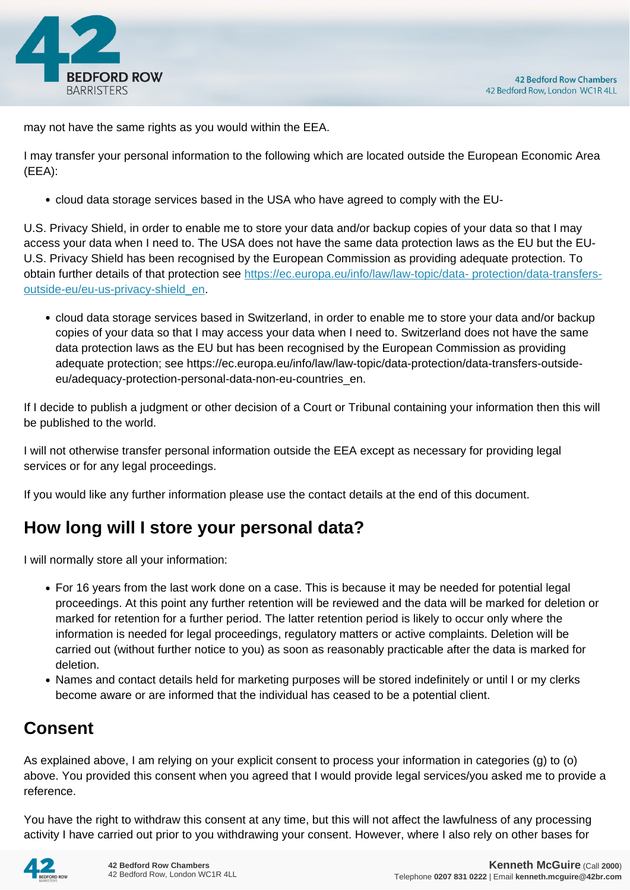

may not have the same rights as you would within the EEA.

I may transfer your personal information to the following which are located outside the European Economic Area (EEA):

cloud data storage services based in the USA who have agreed to comply with the EU-

U.S. Privacy Shield, in order to enable me to store your data and/or backup copies of your data so that I may access your data when I need to. The USA does not have the same data protection laws as the EU but the EU-U.S. Privacy Shield has been recognised by the European Commission as providing adequate protection. To obtain further details of that protection see [https://ec.europa.eu/info/law/law-topic/data- protection/data-transfers](https://ec.europa.eu/info/law/law-topic/data- protection/data-transfers-outside-eu/eu-us-privacy-shield_en)[outside-eu/eu-us-privacy-shield\\_en.](https://ec.europa.eu/info/law/law-topic/data- protection/data-transfers-outside-eu/eu-us-privacy-shield_en)

cloud data storage services based in Switzerland, in order to enable me to store your data and/or backup copies of your data so that I may access your data when I need to. Switzerland does not have the same data protection laws as the EU but has been recognised by the European Commission as providing adequate protection; see https://ec.europa.eu/info/law/law-topic/data-protection/data-transfers-outsideeu/adequacy-protection-personal-data-non-eu-countries\_en.

If I decide to publish a judgment or other decision of a Court or Tribunal containing your information then this will be published to the world.

I will not otherwise transfer personal information outside the EEA except as necessary for providing legal services or for any legal proceedings.

If you would like any further information please use the contact details at the end of this document.

#### **How long will I store your personal data?**

I will normally store all your information:

- For 16 years from the last work done on a case. This is because it may be needed for potential legal proceedings. At this point any further retention will be reviewed and the data will be marked for deletion or marked for retention for a further period. The latter retention period is likely to occur only where the information is needed for legal proceedings, regulatory matters or active complaints. Deletion will be carried out (without further notice to you) as soon as reasonably practicable after the data is marked for deletion.
- Names and contact details held for marketing purposes will be stored indefinitely or until I or my clerks become aware or are informed that the individual has ceased to be a potential client.

#### **Consent**

As explained above, I am relying on your explicit consent to process your information in categories (g) to (o) above. You provided this consent when you agreed that I would provide legal services/you asked me to provide a reference.

You have the right to withdraw this consent at any time, but this will not affect the lawfulness of any processing activity I have carried out prior to you withdrawing your consent. However, where I also rely on other bases for

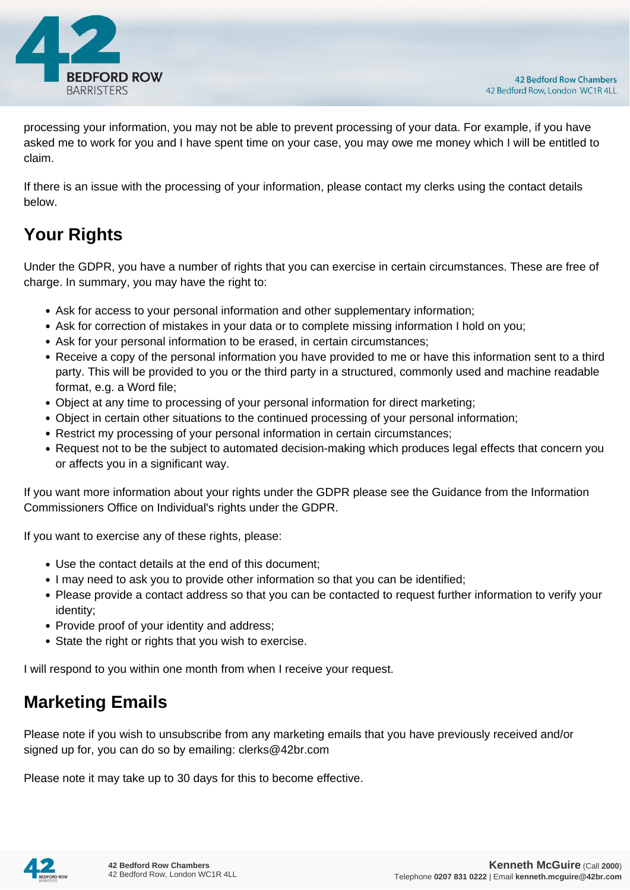

processing your information, you may not be able to prevent processing of your data. For example, if you have asked me to work for you and I have spent time on your case, you may owe me money which I will be entitled to claim.

If there is an issue with the processing of your information, please contact my clerks using the contact details below.

## **Your Rights**

Under the GDPR, you have a number of rights that you can exercise in certain circumstances. These are free of charge. In summary, you may have the right to:

- Ask for access to your personal information and other supplementary information;
- Ask for correction of mistakes in your data or to complete missing information I hold on you;
- Ask for your personal information to be erased, in certain circumstances;
- Receive a copy of the personal information you have provided to me or have this information sent to a third party. This will be provided to you or the third party in a structured, commonly used and machine readable format, e.g. a Word file;
- Object at any time to processing of your personal information for direct marketing;
- Object in certain other situations to the continued processing of your personal information;
- Restrict my processing of your personal information in certain circumstances;
- Request not to be the subject to automated decision-making which produces legal effects that concern you or affects you in a significant way.

If you want more information about your rights under the GDPR please see the Guidance from the Information Commissioners Office on Individual's rights under the GDPR.

If you want to exercise any of these rights, please:

- Use the contact details at the end of this document;
- I may need to ask you to provide other information so that you can be identified;
- Please provide a contact address so that you can be contacted to request further information to verify your identity;
- Provide proof of your identity and address;
- State the right or rights that you wish to exercise.

I will respond to you within one month from when I receive your request.

#### **Marketing Emails**

Please note if you wish to unsubscribe from any marketing emails that you have previously received and/or signed up for, you can do so by emailing: clerks@42br.com

Please note it may take up to 30 days for this to become effective.